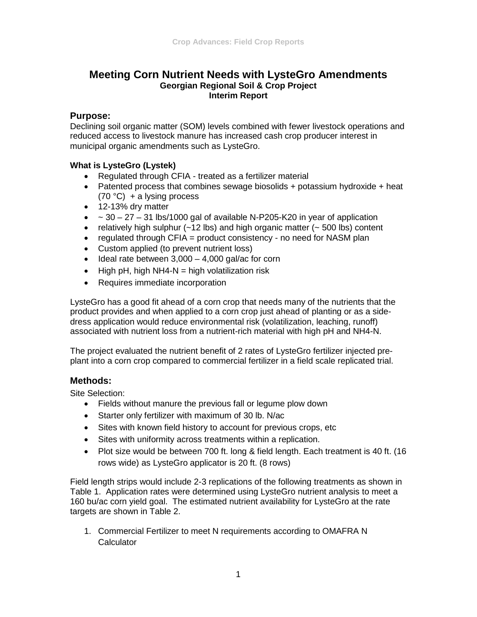# **Meeting Corn Nutrient Needs with LysteGro Amendments Georgian Regional Soil & Crop Project Interim Report**

### **Purpose:**

Declining soil organic matter (SOM) levels combined with fewer livestock operations and reduced access to livestock manure has increased cash crop producer interest in municipal organic amendments such as LysteGro.

### **What is LysteGro (Lystek)**

- Regulated through CFIA treated as a fertilizer material
- Patented process that combines sewage biosolids + potassium hydroxide + heat  $(70 °C)$  + a lysing process
- 12-13% dry matter
- $\bullet$   $\sim$  30 27 31 lbs/1000 gal of available N-P205-K20 in year of application
- relatively high sulphur  $(-12 \text{ lbs})$  and high organic matter  $(-500 \text{ lbs})$  content
- regulated through CFIA = product consistency no need for NASM plan
- Custom applied (to prevent nutrient loss)
- Ideal rate between 3,000 4,000 gal/ac for corn
- High pH, high NH4-N = high volatilization risk
- Requires immediate incorporation

LysteGro has a good fit ahead of a corn crop that needs many of the nutrients that the product provides and when applied to a corn crop just ahead of planting or as a sidedress application would reduce environmental risk (volatilization, leaching, runoff) associated with nutrient loss from a nutrient-rich material with high pH and NH4-N.

The project evaluated the nutrient benefit of 2 rates of LysteGro fertilizer injected preplant into a corn crop compared to commercial fertilizer in a field scale replicated trial.

## **Methods:**

Site Selection:

- Fields without manure the previous fall or legume plow down
- Starter only fertilizer with maximum of 30 lb. N/ac
- Sites with known field history to account for previous crops, etc
- Sites with uniformity across treatments within a replication.
- Plot size would be between 700 ft. long & field length. Each treatment is 40 ft. (16 rows wide) as LysteGro applicator is 20 ft. (8 rows)

Field length strips would include 2-3 replications of the following treatments as shown in Table 1. Application rates were determined using LysteGro nutrient analysis to meet a 160 bu/ac corn yield goal. The estimated nutrient availability for LysteGro at the rate targets are shown in Table 2.

1. Commercial Fertilizer to meet N requirements according to OMAFRA N Calculator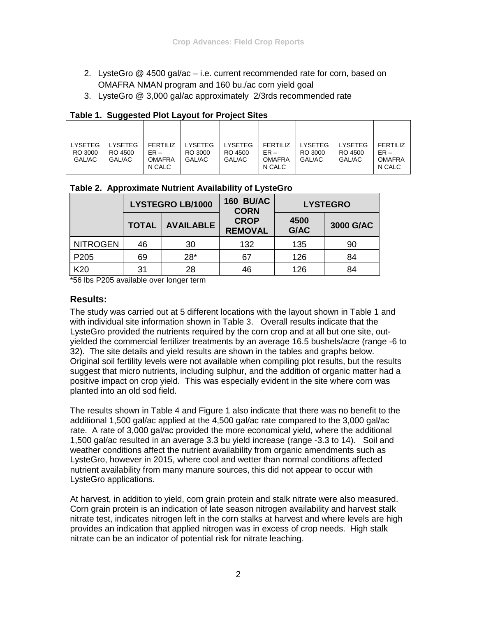- 2. LysteGro @ 4500 gal/ac i.e. current recommended rate for corn, based on OMAFRA NMAN program and 160 bu./ac corn yield goal
- 3. LysteGro @ 3,000 gal/ac approximately 2/3rds recommended rate

#### **Table 1. Suggested Plot Layout for Project Sites**

| Table 2. Approximate Nutrient Availability of LysteGro |  |
|--------------------------------------------------------|--|
|--------------------------------------------------------|--|

| <b>LYSTEGRO LB/1000</b> |                                                 |       | <b>160 BU/AC</b><br><b>CORN</b> | <b>LYSTEGRO</b> |           |
|-------------------------|-------------------------------------------------|-------|---------------------------------|-----------------|-----------|
|                         | <b>CROP</b><br><b>AVAILABLE</b><br><b>TOTAL</b> |       | <b>REMOVAL</b>                  | 4500<br>G/AC    | 3000 G/AC |
| <b>NITROGEN</b>         | 46                                              | 30    | 132                             | 135             | 90        |
| P <sub>205</sub>        | 69                                              | $28*$ | 67                              | 126             | 84        |
| K20                     | 31                                              | 28    | 46                              | 126             | 84        |

\*56 lbs P205 available over longer term

### **Results:**

The study was carried out at 5 different locations with the layout shown in Table 1 and with individual site information shown in Table 3. Overall results indicate that the LysteGro provided the nutrients required by the corn crop and at all but one site, outyielded the commercial fertilizer treatments by an average 16.5 bushels/acre (range -6 to 32). The site details and yield results are shown in the tables and graphs below. Original soil fertility levels were not available when compiling plot results, but the results suggest that micro nutrients, including sulphur, and the addition of organic matter had a positive impact on crop yield. This was especially evident in the site where corn was planted into an old sod field.

The results shown in Table 4 and Figure 1 also indicate that there was no benefit to the additional 1,500 gal/ac applied at the 4,500 gal/ac rate compared to the 3,000 gal/ac rate. A rate of 3,000 gal/ac provided the more economical yield, where the additional 1,500 gal/ac resulted in an average 3.3 bu yield increase (range -3.3 to 14). Soil and weather conditions affect the nutrient availability from organic amendments such as LysteGro, however in 2015, where cool and wetter than normal conditions affected nutrient availability from many manure sources, this did not appear to occur with LysteGro applications.

At harvest, in addition to yield, corn grain protein and stalk nitrate were also measured. Corn grain protein is an indication of late season nitrogen availability and harvest stalk nitrate test, indicates nitrogen left in the corn stalks at harvest and where levels are high provides an indication that applied nitrogen was in excess of crop needs. High stalk nitrate can be an indicator of potential risk for nitrate leaching.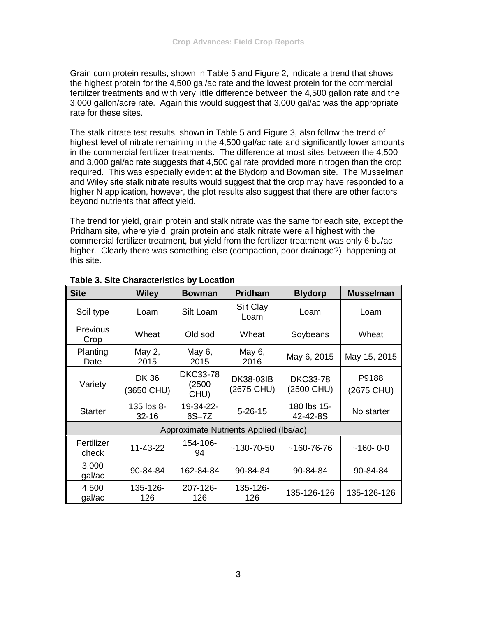Grain corn protein results, shown in Table 5 and Figure 2, indicate a trend that shows the highest protein for the 4,500 gal/ac rate and the lowest protein for the commercial fertilizer treatments and with very little difference between the 4,500 gallon rate and the 3,000 gallon/acre rate. Again this would suggest that 3,000 gal/ac was the appropriate rate for these sites.

The stalk nitrate test results, shown in Table 5 and Figure 3, also follow the trend of highest level of nitrate remaining in the 4,500 gal/ac rate and significantly lower amounts in the commercial fertilizer treatments. The difference at most sites between the 4,500 and 3,000 gal/ac rate suggests that 4,500 gal rate provided more nitrogen than the crop required. This was especially evident at the Blydorp and Bowman site. The Musselman and Wiley site stalk nitrate results would suggest that the crop may have responded to a higher N application, however, the plot results also suggest that there are other factors beyond nutrients that affect yield.

The trend for yield, grain protein and stalk nitrate was the same for each site, except the Pridham site, where yield, grain protein and stalk nitrate were all highest with the commercial fertilizer treatment, but yield from the fertilizer treatment was only 6 bu/ac higher. Clearly there was something else (compaction, poor drainage?) happening at this site.

| <b>Site</b>                            | <b>Wiley</b>              | <b>Bowman</b>                     | <b>Pridham</b>          | <b>Blydorp</b>                | <b>Musselman</b>    |  |
|----------------------------------------|---------------------------|-----------------------------------|-------------------------|-------------------------------|---------------------|--|
| Soil type                              | Loam                      | Silt Loam                         | Silt Clay<br>Loam       | Loam                          | Loam                |  |
| <b>Previous</b><br>Crop                | Wheat                     | Old sod                           | Wheat                   | Soybeans                      | Wheat               |  |
| Planting<br>Date                       | May 2,<br>2015            | May 6,<br>2015                    | May 6,<br>2016          | May 6, 2015                   | May 15, 2015        |  |
| Variety                                | <b>DK36</b><br>(3650 CHU) | <b>DKC33-78</b><br>(2500)<br>CHU) | DK38-03IB<br>(2675 CHU) | <b>DKC33-78</b><br>(2500 CHU) | P9188<br>(2675 CHU) |  |
| <b>Starter</b>                         | 135 lbs 8-<br>$32 - 16$   | 19-34-22-<br>$6S - 7Z$            | $5 - 26 - 15$           | 180 lbs 15-<br>42-42-8S       | No starter          |  |
| Approximate Nutrients Applied (Ibs/ac) |                           |                                   |                         |                               |                     |  |
| Fertilizer<br>check                    | 11-43-22                  | 154-106-<br>94                    | $~130 - 70 - 50$        | $~160 - 76 - 76$              | $~160 - 0 - 0$      |  |
| 3,000<br>gal/ac                        | 90-84-84                  | 162-84-84                         | 90-84-84                | 90-84-84                      | 90-84-84            |  |
| 4,500<br>gal/ac                        | 135-126-<br>126           | 207-126-<br>126                   | 135-126-<br>126         | 135-126-126                   | 135-126-126         |  |

**Table 3. Site Characteristics by Location**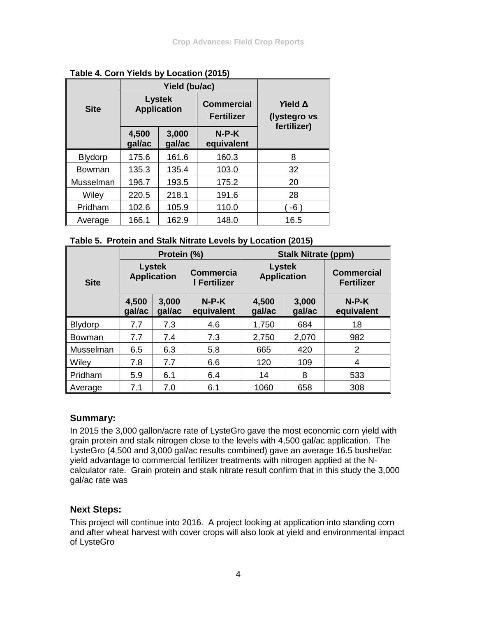|                |                                     | Yield (bu/ac)   |                                        |             |                                |  |
|----------------|-------------------------------------|-----------------|----------------------------------------|-------------|--------------------------------|--|
| <b>Site</b>    | <b>Lystek</b><br><b>Application</b> |                 | <b>Commercial</b><br><b>Fertilizer</b> |             | <b>Yield Δ</b><br>(lystegro vs |  |
|                | 4,500<br>gal/ac                     | 3,000<br>gal/ac | $N-P-K$<br>equivalent                  | fertilizer) |                                |  |
| <b>Blydorp</b> | 175.6                               | 161.6           | 160.3                                  | 8           |                                |  |
| Bowman         | 135.3                               | 135.4           | 103.0                                  | 32          |                                |  |
| Musselman      | 196.7                               | 193.5           | 175.2                                  | 20          |                                |  |
| Wiley          | 220.5                               | 218.1           | 191.6                                  | 28          |                                |  |
| Pridham        | 102.6                               | 105.9           | 110.0                                  | $-6)$       |                                |  |
| Average        | 166.1                               | 162.9           | 148.0                                  | 16.5        |                                |  |

**Table 4. Corn Yields by Location (2015)**

|                | Protein (%)                         |                 |                                  | <b>Stalk Nitrate (ppm)</b>          |                 |                                        |  |
|----------------|-------------------------------------|-----------------|----------------------------------|-------------------------------------|-----------------|----------------------------------------|--|
| <b>Site</b>    | <b>Lystek</b><br><b>Application</b> |                 | <b>Commercia</b><br>I Fertilizer | <b>Lystek</b><br><b>Application</b> |                 | <b>Commercial</b><br><b>Fertilizer</b> |  |
|                | 4,500<br>gal/ac                     | 3,000<br>gal/ac | $N-P-K$<br>equivalent            | 4,500<br>gal/ac                     | 3,000<br>gal/ac | $N-P-K$<br>equivalent                  |  |
| <b>Blydorp</b> | 7.7                                 | 7.3             | 4.6                              | 1,750                               | 684             | 18                                     |  |
| Bowman         | 7.7                                 | 7.4             | 7.3                              | 2,750                               | 2,070           | 982                                    |  |
| Musselman      | 6.5                                 | 6.3             | 5.8                              | 665                                 | 420             | 2                                      |  |
| Wiley          | 7.8                                 | 7.7             | 6.6                              | 120                                 | 109             | 4                                      |  |
| Pridham        | 5.9                                 | 6.1             | 6.4                              | 14                                  | 8               | 533                                    |  |
| Average        | 7.1                                 | 7.0             | 6.1                              | 1060                                | 658             | 308                                    |  |

## **Summary:**

In 2015 the 3,000 gallon/acre rate of LysteGro gave the most economic corn yield with grain protein and stalk nitrogen close to the levels with 4,500 gal/ac application. The LysteGro (4,500 and 3,000 gal/ac results combined) gave an average 16.5 bushel/ac yield advantage to commercial fertilizer treatments with nitrogen applied at the Ncalculator rate. Grain protein and stalk nitrate result confirm that in this study the 3,000 gal/ac rate was

## **Next Steps:**

This project will continue into 2016. A project looking at application into standing corn and after wheat harvest with cover crops will also look at yield and environmental impact of LysteGro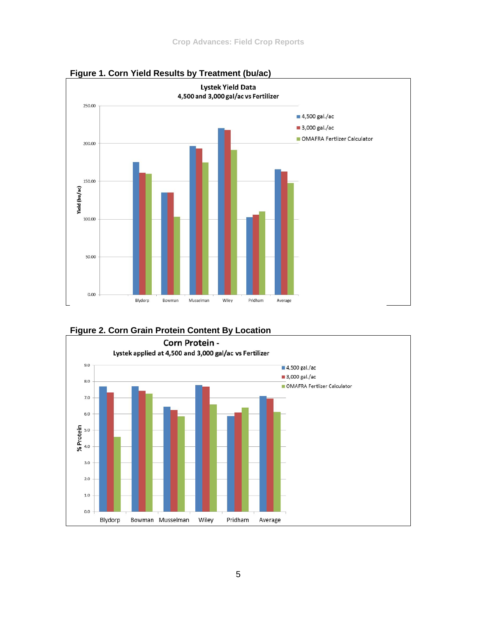